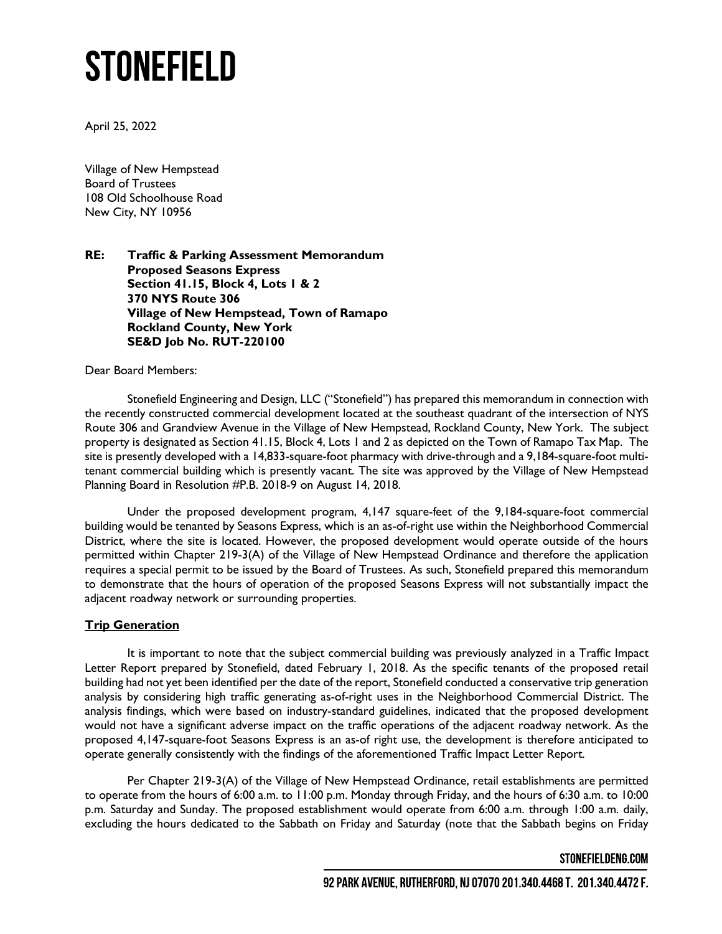# **STONEFIELD**

April 25, 2022

Village of New Hempstead Board of Trustees 108 Old Schoolhouse Road New City, NY 10956

RE: Traffic & Parking Assessment Memorandum Proposed Seasons Express Section 41.15, Block 4, Lots 1 & 2 370 NYS Route 306 Village of New Hempstead, Town of Ramapo Rockland County, New York SE&D Job No. RUT-220100

Dear Board Members:

Stonefield Engineering and Design, LLC ("Stonefield") has prepared this memorandum in connection with the recently constructed commercial development located at the southeast quadrant of the intersection of NYS Route 306 and Grandview Avenue in the Village of New Hempstead, Rockland County, New York. The subject property is designated as Section 41.15, Block 4, Lots 1 and 2 as depicted on the Town of Ramapo Tax Map. The site is presently developed with a 14,833-square-foot pharmacy with drive-through and a 9,184-square-foot multitenant commercial building which is presently vacant. The site was approved by the Village of New Hempstead Planning Board in Resolution #P.B. 2018-9 on August 14, 2018.

Under the proposed development program, 4,147 square-feet of the 9,184-square-foot commercial building would be tenanted by Seasons Express, which is an as-of-right use within the Neighborhood Commercial District, where the site is located. However, the proposed development would operate outside of the hours permitted within Chapter 219-3(A) of the Village of New Hempstead Ordinance and therefore the application requires a special permit to be issued by the Board of Trustees. As such, Stonefield prepared this memorandum to demonstrate that the hours of operation of the proposed Seasons Express will not substantially impact the adjacent roadway network or surrounding properties.

### **Trip Generation**

It is important to note that the subject commercial building was previously analyzed in a Traffic Impact Letter Report prepared by Stonefield, dated February 1, 2018. As the specific tenants of the proposed retail building had not yet been identified per the date of the report, Stonefield conducted a conservative trip generation analysis by considering high traffic generating as-of-right uses in the Neighborhood Commercial District. The analysis findings, which were based on industry-standard guidelines, indicated that the proposed development would not have a significant adverse impact on the traffic operations of the adjacent roadway network. As the proposed 4,147-square-foot Seasons Express is an as-of right use, the development is therefore anticipated to operate generally consistently with the findings of the aforementioned Traffic Impact Letter Report.

Per Chapter 219-3(A) of the Village of New Hempstead Ordinance, retail establishments are permitted to operate from the hours of 6:00 a.m. to 11:00 p.m. Monday through Friday, and the hours of 6:30 a.m. to 10:00 p.m. Saturday and Sunday. The proposed establishment would operate from 6:00 a.m. through 1:00 a.m. daily, excluding the hours dedicated to the Sabbath on Friday and Saturday (note that the Sabbath begins on Friday

### STONEFIELDENG.COM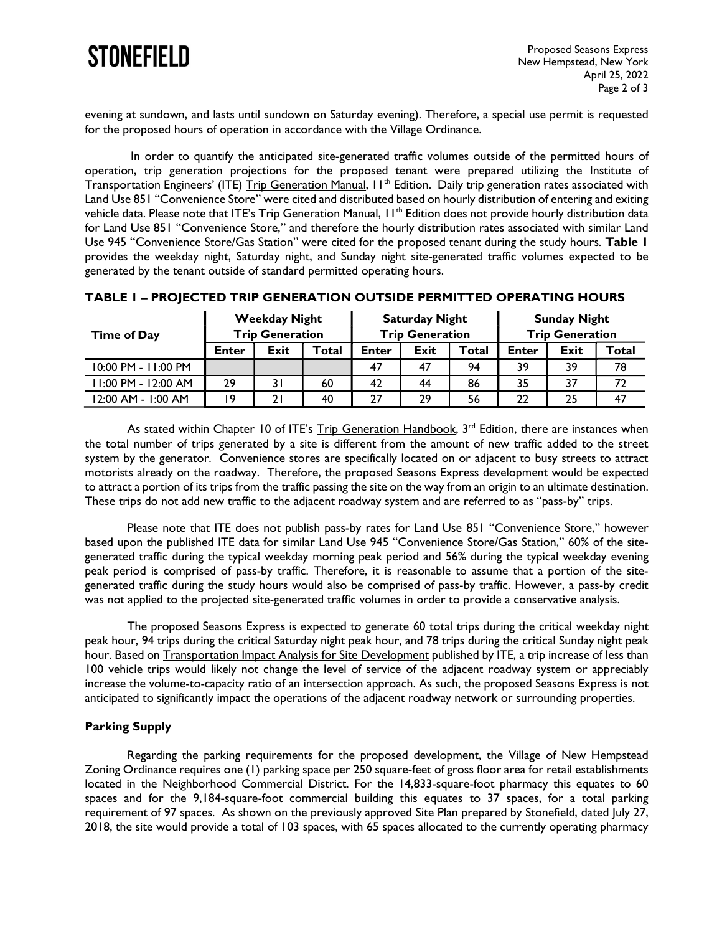

evening at sundown, and lasts until sundown on Saturday evening). Therefore, a special use permit is requested for the proposed hours of operation in accordance with the Village Ordinance.

 In order to quantify the anticipated site-generated traffic volumes outside of the permitted hours of operation, trip generation projections for the proposed tenant were prepared utilizing the Institute of Transportation Engineers' (ITE) Trip Generation Manual, 11<sup>th</sup> Edition. Daily trip generation rates associated with Land Use 851 "Convenience Store" were cited and distributed based on hourly distribution of entering and exiting vehicle data. Please note that ITE's Trip Generation Manual, II<sup>th</sup> Edition does not provide hourly distribution data for Land Use 851 "Convenience Store," and therefore the hourly distribution rates associated with similar Land Use 945 "Convenience Store/Gas Station" were cited for the proposed tenant during the study hours. Table I provides the weekday night, Saturday night, and Sunday night site-generated traffic volumes expected to be generated by the tenant outside of standard permitted operating hours. Proposed Seasons Express<br>
New Hempstead, New York<br>
April 25, 2022<br>
April 25, 2022<br>
Trage 2 of 3<br>
Trip Generation in accordance<br>
the anticipated site-generated traffic volumes outside of the permitt is requested<br>
trip Gene Enter Incord Section Manual Proposed Search Expressions Express<br>
New Hempstead, New York<br>
April 25, 2022<br>
Page 2 of 3<br>
Operation in accordance with the Village Ordinance.<br>
New Hempstead, New York<br>
April 25, 2022<br>
(ITE) Tr The present standard and the standard permission and a standard and the standard and the method of the permit is requested<br>
Page 2 of 3<br>
Page 2 of 3<br>
Page 2 of 3<br>
Page 2 of 3<br>
Page 2 of 3<br>
Page 2 of 3<br>
Page 2 of 3<br>
Page 2 wening at sundown, and lasts until sundown on Saturday evening). Therefore, a special use permit is requested<br>
In order to quantify the anticipated site-generated traffic volumes outside of the permitted hours of<br>
persist vening at sundown, and lasts until sundown on Saturday evening). Therefore, a special use permit is requested<br>
In order to quantify the anticipated site-generated traffic volumes outside of the permitted hours of<br>
peration

| <b>Time of Day</b>   | <b>Weekday Night</b><br><b>Trip Generation</b> |             |       | <b>Saturday Night</b><br><b>Trip Generation</b> |             |       | <b>Sunday Night</b><br><b>Trip Generation</b> |             |       |
|----------------------|------------------------------------------------|-------------|-------|-------------------------------------------------|-------------|-------|-----------------------------------------------|-------------|-------|
|                      | Enter                                          | <b>Exit</b> | Total | <b>Enter</b>                                    | <b>Exit</b> | Total | <b>Enter</b>                                  | <b>Exit</b> | Total |
| 10:00 PM - 11:00 PM  |                                                |             |       | 47                                              | 47          | 94    | 39                                            | 39          | 78    |
| I I:00 PM - 12:00 AM | 29                                             |             | 60    | 42                                              | 44          | 86    | 35                                            | 37          | 72    |
| 12:00 AM - 1:00 AM   | 19                                             |             | 40    | 27                                              | 29          | 56    | 22                                            | 25          | 47    |

#### TABLE 1 – PROJECTED TRIP GENERATION OUTSIDE PERMITTED OPERATING HOURS

As stated within Chapter 10 of ITE's Trip Generation Handbook, 3<sup>rd</sup> Edition, there are instances when the total number of trips generated by a site is different from the amount of new traffic added to the street system by the generator. Convenience stores are specifically located on or adjacent to busy streets to attract motorists already on the roadway. Therefore, the proposed Seasons Express development would be expected to attract a portion of its trips from the traffic passing the site on the way from an origin to an ultimate destination. These trips do not add new traffic to the adjacent roadway system and are referred to as "pass-by" trips.

Please note that ITE does not publish pass-by rates for Land Use 851 "Convenience Store," however based upon the published ITE data for similar Land Use 945 "Convenience Store/Gas Station," 60% of the sitegenerated traffic during the typical weekday morning peak period and 56% during the typical weekday evening peak period is comprised of pass-by traffic. Therefore, it is reasonable to assume that a portion of the sitegenerated traffic during the study hours would also be comprised of pass-by traffic. However, a pass-by credit was not applied to the projected site-generated traffic volumes in order to provide a conservative analysis.

The proposed Seasons Express is expected to generate 60 total trips during the critical weekday night peak hour, 94 trips during the critical Saturday night peak hour, and 78 trips during the critical Sunday night peak hour. Based on Transportation Impact Analysis for Site Development published by ITE, a trip increase of less than 100 vehicle trips would likely not change the level of service of the adjacent roadway system or appreciably increase the volume-to-capacity ratio of an intersection approach. As such, the proposed Seasons Express is not anticipated to significantly impact the operations of the adjacent roadway network or surrounding properties.

## Parking Supply

Regarding the parking requirements for the proposed development, the Village of New Hempstead Zoning Ordinance requires one (1) parking space per 250 square-feet of gross floor area for retail establishments located in the Neighborhood Commercial District. For the 14,833-square-foot pharmacy this equates to 60 spaces and for the 9,184-square-foot commercial building this equates to 37 spaces, for a total parking requirement of 97 spaces. As shown on the previously approved Site Plan prepared by Stonefield, dated July 27, 2018, the site would provide a total of 103 spaces, with 65 spaces allocated to the currently operating pharmacy